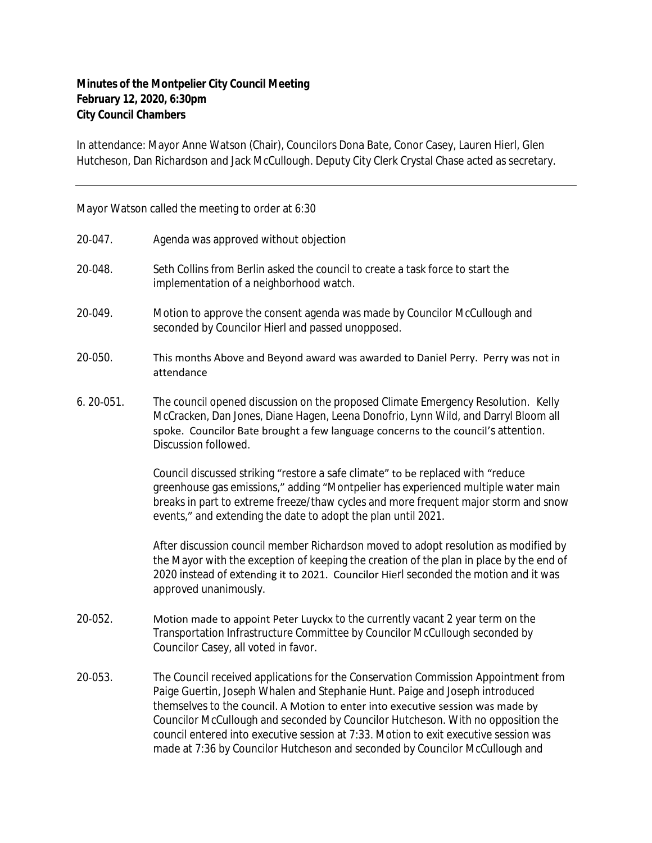## **Minutes of the Montpelier City Council Meeting February 12, 2020, 6:30pm City Council Chambers**

In attendance: Mayor Anne Watson (Chair), Councilors Dona Bate, Conor Casey, Lauren Hierl, Glen Hutcheson, Dan Richardson and Jack McCullough. Deputy City Clerk Crystal Chase acted as secretary.

Mayor Watson called the meeting to order at 6:30

| 20-047.       | Agenda was approved without objection                                                                                                                                                                                                                                                                                                                                                                                                                                                                             |
|---------------|-------------------------------------------------------------------------------------------------------------------------------------------------------------------------------------------------------------------------------------------------------------------------------------------------------------------------------------------------------------------------------------------------------------------------------------------------------------------------------------------------------------------|
| 20-048.       | Seth Collins from Berlin asked the council to create a task force to start the<br>implementation of a neighborhood watch.                                                                                                                                                                                                                                                                                                                                                                                         |
| 20-049.       | Motion to approve the consent agenda was made by Councilor McCullough and<br>seconded by Councilor Hierl and passed unopposed.                                                                                                                                                                                                                                                                                                                                                                                    |
| 20-050.       | This months Above and Beyond award was awarded to Daniel Perry. Perry was not in<br>attendance                                                                                                                                                                                                                                                                                                                                                                                                                    |
| $6.20 - 051.$ | The council opened discussion on the proposed Climate Emergency Resolution. Kelly<br>McCracken, Dan Jones, Diane Hagen, Leena Donofrio, Lynn Wild, and Darryl Bloom all<br>spoke. Councilor Bate brought a few language concerns to the council's attention.<br>Discussion followed.                                                                                                                                                                                                                              |
|               | Council discussed striking "restore a safe climate" to be replaced with "reduce<br>greenhouse gas emissions," adding "Montpelier has experienced multiple water main<br>breaks in part to extreme freeze/thaw cycles and more frequent major storm and snow<br>events," and extending the date to adopt the plan until 2021.                                                                                                                                                                                      |
|               | After discussion council member Richardson moved to adopt resolution as modified by<br>the Mayor with the exception of keeping the creation of the plan in place by the end of<br>2020 instead of extending it to 2021. Councilor Hierl seconded the motion and it was<br>approved unanimously.                                                                                                                                                                                                                   |
| 20-052.       | Motion made to appoint Peter Luyckx to the currently vacant 2 year term on the<br>Transportation Infrastructure Committee by Councilor McCullough seconded by<br>Councilor Casey, all voted in favor.                                                                                                                                                                                                                                                                                                             |
| 20-053.       | The Council received applications for the Conservation Commission Appointment from<br>Paige Guertin, Joseph Whalen and Stephanie Hunt. Paige and Joseph introduced<br>themselves to the council. A Motion to enter into executive session was made by<br>Councilor McCullough and seconded by Councilor Hutcheson. With no opposition the<br>council entered into executive session at 7:33. Motion to exit executive session was<br>made at 7:36 by Councilor Hutcheson and seconded by Councilor McCullough and |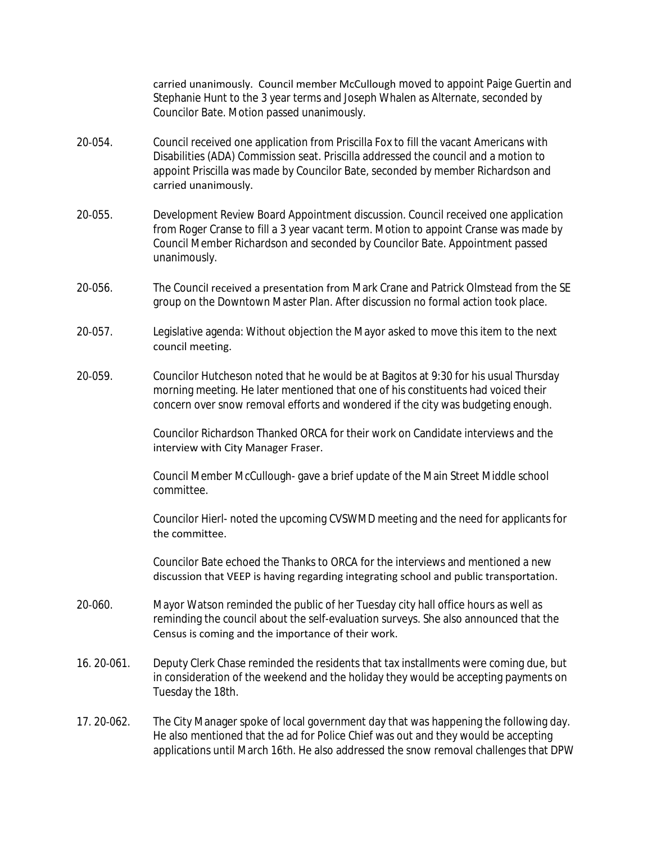carried unanimously. Council member McCullough moved to appoint Paige Guertin and Stephanie Hunt to the 3 year terms and Joseph Whalen as Alternate, seconded by Councilor Bate. Motion passed unanimously.

- 20‐054. Council received one application from Priscilla Fox to fill the vacant Americans with Disabilities (ADA) Commission seat. Priscilla addressed the council and a motion to appoint Priscilla was made by Councilor Bate, seconded by member Richardson and carried unanimously.
- 20-055. Development Review Board Appointment discussion. Council received one application from Roger Cranse to fill a 3 year vacant term. Motion to appoint Cranse was made by Council Member Richardson and seconded by Councilor Bate. Appointment passed unanimously.
- 20‐056. The Council received a presentation from Mark Crane and Patrick Olmstead from the SE group on the Downtown Master Plan. After discussion no formal action took place.
- 20‐057. Legislative agenda: Without objection the Mayor asked to move this item to the next council meeting.
- 20‐059. Councilor Hutcheson noted that he would be at Bagitos at 9:30 for his usual Thursday morning meeting. He later mentioned that one of his constituents had voiced their concern over snow removal efforts and wondered if the city was budgeting enough.

Councilor Richardson Thanked ORCA for their work on Candidate interviews and the interview with City Manager Fraser.

Council Member McCullough- gave a brief update of the Main Street Middle school committee.

Councilor Hierl- noted the upcoming CVSWMD meeting and the need for applicants for the committee.

Councilor Bate echoed the Thanks to ORCA for the interviews and mentioned a new discussion that VEEP is having regarding integrating school and public transportation.

- 20‐060. Mayor Watson reminded the public of her Tuesday city hall office hours as well as reminding the council about the self-evaluation surveys. She also announced that the Census is coming and the importance of their work.
- 16. 20-061. Deputy Clerk Chase reminded the residents that tax installments were coming due, but in consideration of the weekend and the holiday they would be accepting payments on Tuesday the 18th.
- 17. 20‐062. The City Manager spoke of local government day that was happening the following day. He also mentioned that the ad for Police Chief was out and they would be accepting applications until March 16th. He also addressed the snow removal challenges that DPW